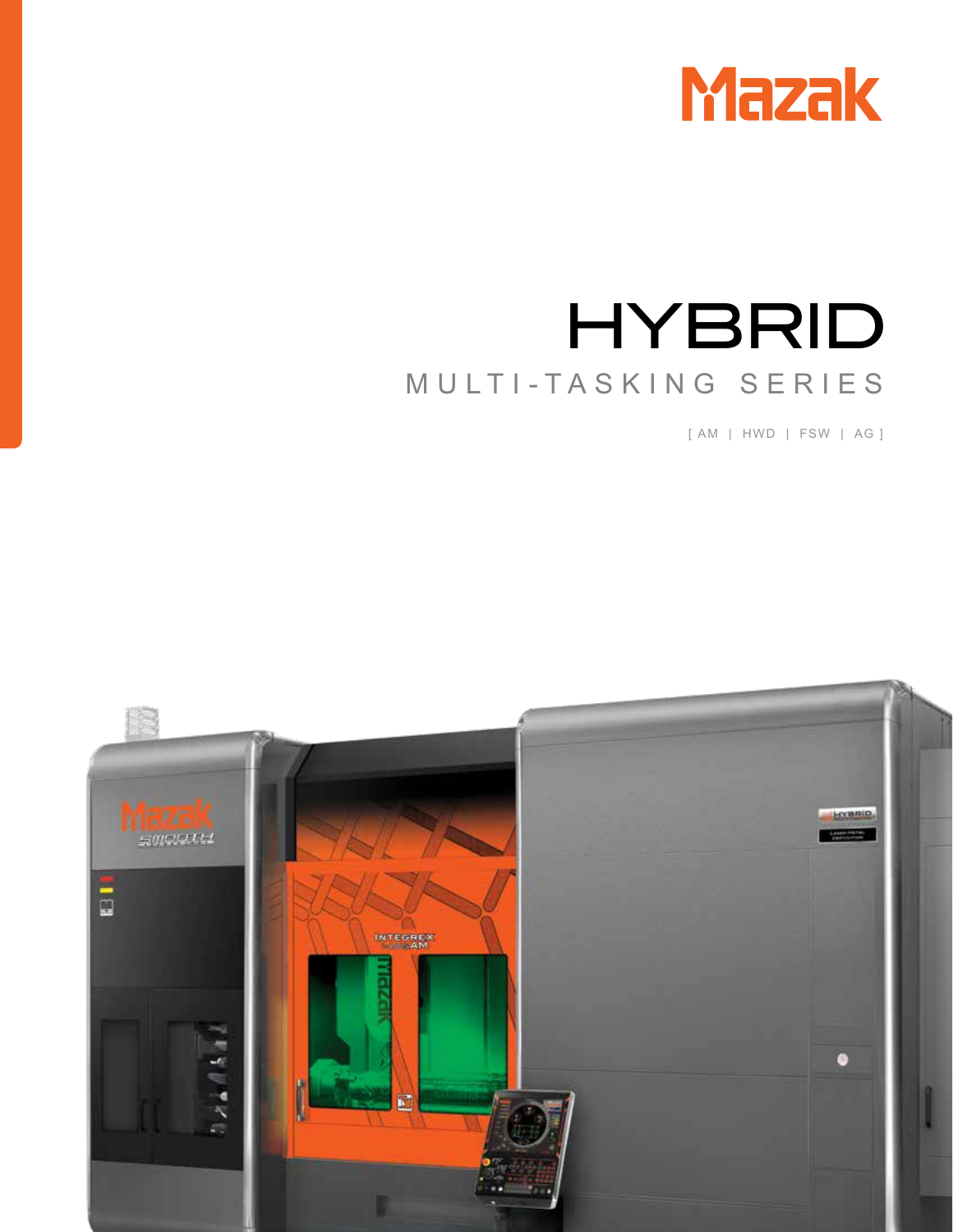

# HYBRID MULTI-TASKING SERIES

[ AM | HWD | FSW | AG ]

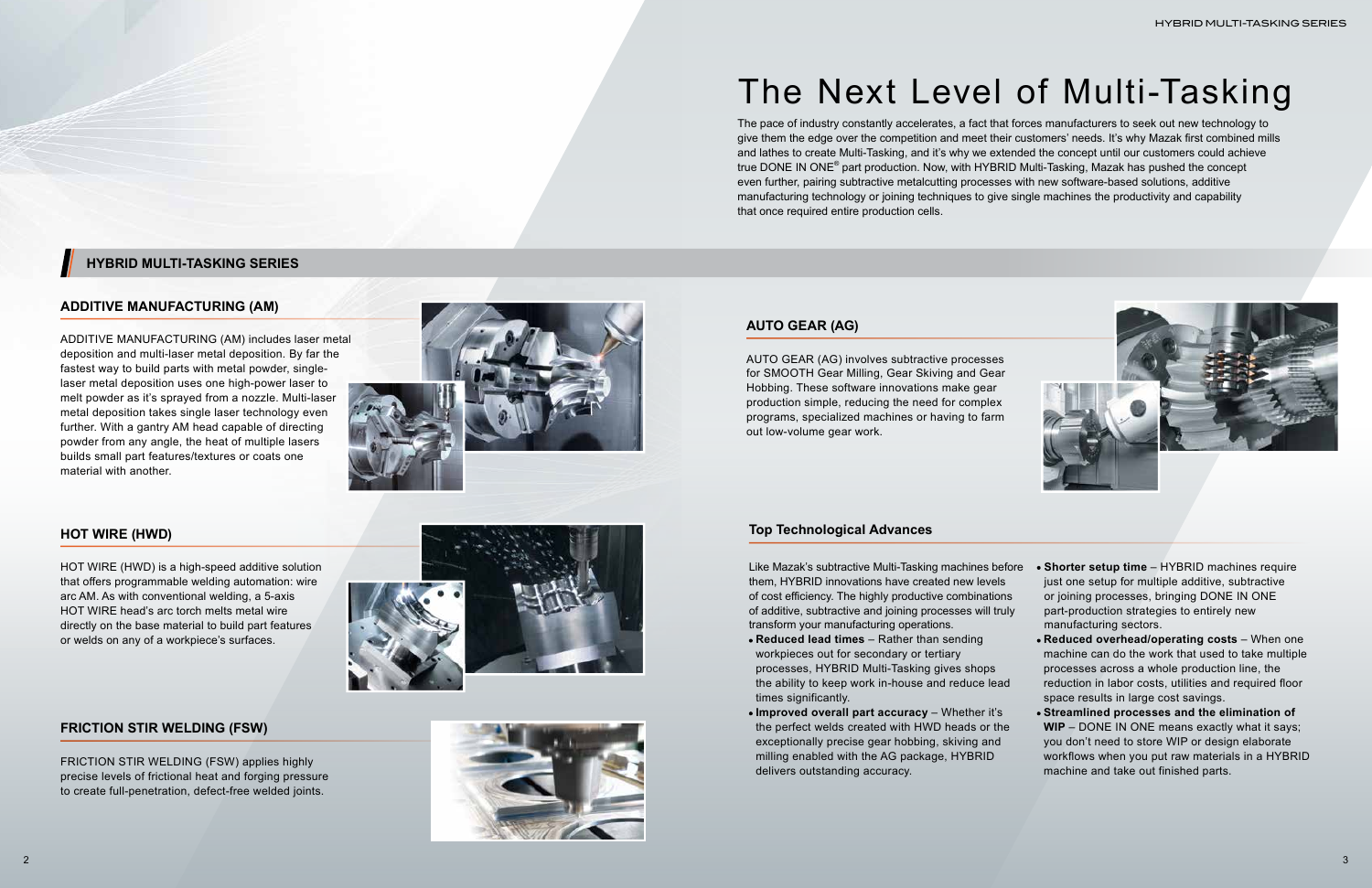

The pace of industry constantly accelerates, a fact that forces manufacturers to seek out new technology to give them the edge over the competition and meet their customers' needs. It's why Mazak first combined mills and lathes to create Multi-Tasking, and it's why we extended the concept until our customers could achieve true DONE IN ONE<sup>®</sup> part production. Now, with HYBRID Multi-Tasking, Mazak has pushed the concept even further, pairing subtractive metalcutting processes with new software-based solutions, additive manufacturing technology or joining techniques to give single machines the productivity and capability that once required entire production cells.

# The Next Level of Multi-Tasking

### **ADDITIVE MANUFACTURING (AM)**

ADDITIVE MANUFACTURING (AM) includes laser metal deposition and multi-laser metal deposition. By far the fastest way to build parts with metal powder, singlelaser metal deposition uses one high-power laser to melt powder as it's sprayed from a nozzle. Multi-laser metal deposition takes single laser technology even further. With a gantry AM head capable of directing powder from any angle, the heat of multiple lasers builds small part features/textures or coats one material with another.



Like Mazak's subtractive Multi-Tasking machines bef them, HYBRID innovations have created new levels of cost efficiency. The highly productive combinations of additive, subtractive and joining processes will tru transform your manufacturing operations.

#### **HOT WIRE (HWD)**

HOT WIRE (HWD) is a high-speed additive solution that offers programmable welding automation: wire arc AM. As with conventional welding, a 5-axis HOT WIRE head's arc torch melts metal wire directly on the base material to build part features or welds on any of a workpiece's surfaces.

#### **FRICTION STIR WELDING (FSW)**

FRICTION STIR WELDING (FSW) applies highly precise levels of frictional heat and forging pressure to create full-penetration, defect-free welded joints.





### **HYBRID MULTI-TASKING SERIES**

#### **AUTO GEAR (AG)**

AUTO GEAR (AG) involves subtractive processes for SMOOTH Gear Milling, Gear Skiving and Gear Hobbing. These software innovations make gear production simple, reducing the need for complex programs, specialized machines or having to farm out low-volume gear work.

#### **Top Technological Advances**

| ore | • Shorter setup time - HYBRID machines require    |
|-----|---------------------------------------------------|
|     | just one setup for multiple additive, subtractive |
| S   | or joining processes, bringing DONE IN ONE        |
| ly  | part-production strategies to entirely new        |
|     | manufacturing sectors.                            |
|     |                                                   |

- **Reduced lead times** Rather than sending workpieces out for secondary or tertiary processes, HYBRID Multi-Tasking gives shops the ability to keep work in-house and reduce lead times significantly.
- **Improved overall part accuracy** Whether it's the perfect welds created with HWD heads or the exceptionally precise gear hobbing, skiving and milling enabled with the AG package, HYBRID delivers outstanding accuracy. **Streamlined processes and the elimination of WIP** – DONE IN ONE means exactly what it says; you don't need to store WIP or design elaborate workflows when you put raw materials in a HYBRID machine and take out finished parts.

**Reduced overhead/operating costs** – When one machine can do the work that used to take multiple processes across a whole production line, the reduction in labor costs, utilities and required floor space results in large cost savings.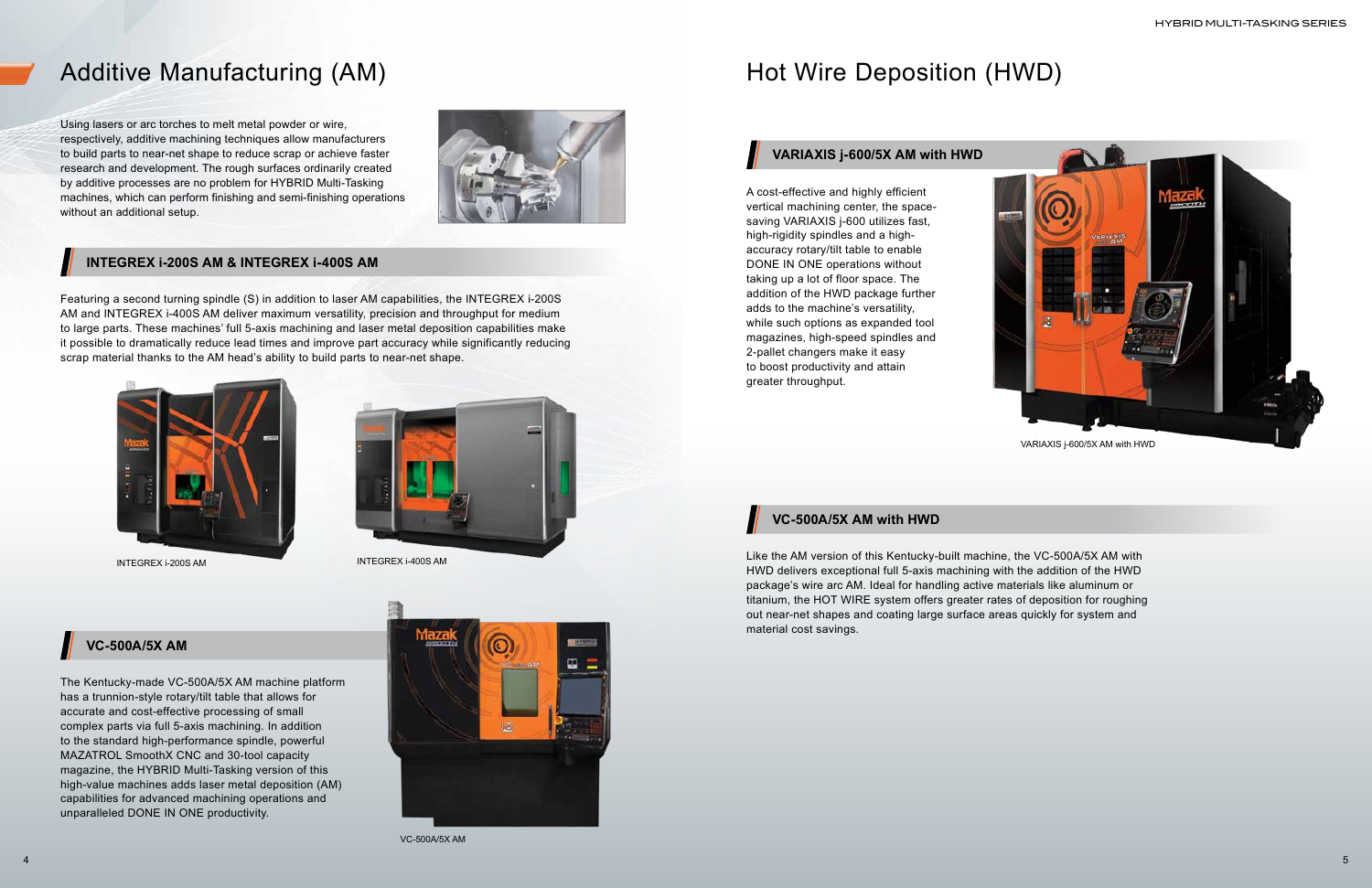#### **VC-500A/5X AM**

## Additive Manufacturing (AM) Manufacturing (AM) Hot Wire Deposition (HWD)

Using lasers or arc torches to melt metal powder or wire, respectively, additive machining techniques allow manufacturers to build parts to near-net shape to reduce scrap or achieve faster research and development. The rough surfaces ordinarily created by additive processes are no problem for HYBRID Multi-Tasking machines, which can perform finishing and semi-finishing operations without an additional setup.



Featuring a second turning spindle (S) in addition to laser AM capabilities, the INTEGREX i-200S AM and INTEGREX i-400S AM deliver maximum versatility, precision and throughput for medium to large parts. These machines' full 5-axis machining and laser metal deposition capabilities make it possible to dramatically reduce lead times and improve part accuracy while significantly reducing scrap material thanks to the AM head's ability to build parts to near-net shape.





INTEGREX i-200S AM INTEGREX i-400S AM

A cost-effective and highly efficient vertical machining center, the spacesaving VARIAXIS j-600 utilizes fast, high-rigidity spindles and a highaccuracy rotary/tilt table to enable DONE IN ONE operations without taking up a lot of floor space. The addition of the HWD package further adds to the machine's versatility, while such options as expanded tool magazines, high-speed spindles and 2-pallet changers make it easy to boost productivity and attain greater throughput.

The Kentucky-made VC-500A/5X AM machine platform has a trunnion-style rotary/tilt table that allows for accurate and cost-effective processing of small complex parts via full 5-axis machining. In addition to the standard high-performance spindle, powerful MAZATROL SmoothX CNC and 30-tool capacity magazine, the HYBRID Multi-Tasking version of this high-value machines adds laser metal deposition (AM) capabilities for advanced machining operations and unparalleled DONE IN ONE productivity.



Like the AM version of this Kentucky-built machine, the VC-500A/5X AM with HWD delivers exceptional full 5-axis machining with the addition of the HWD package's wire arc AM. Ideal for handling active materials like aluminum or titanium, the HOT WIRE system offers greater rates of deposition for roughing out near-net shapes and coating large surface areas quickly for system and material cost savings.

#### **INTEGREX i-200S AM & INTEGREX i-400S AM**

#### **VARIAXIS j-600/5X AM with HWD**

#### **VC-500A/5X AM with HWD**

VC-500A/5X AM



VARIAXIS j-600/5X AM with HWD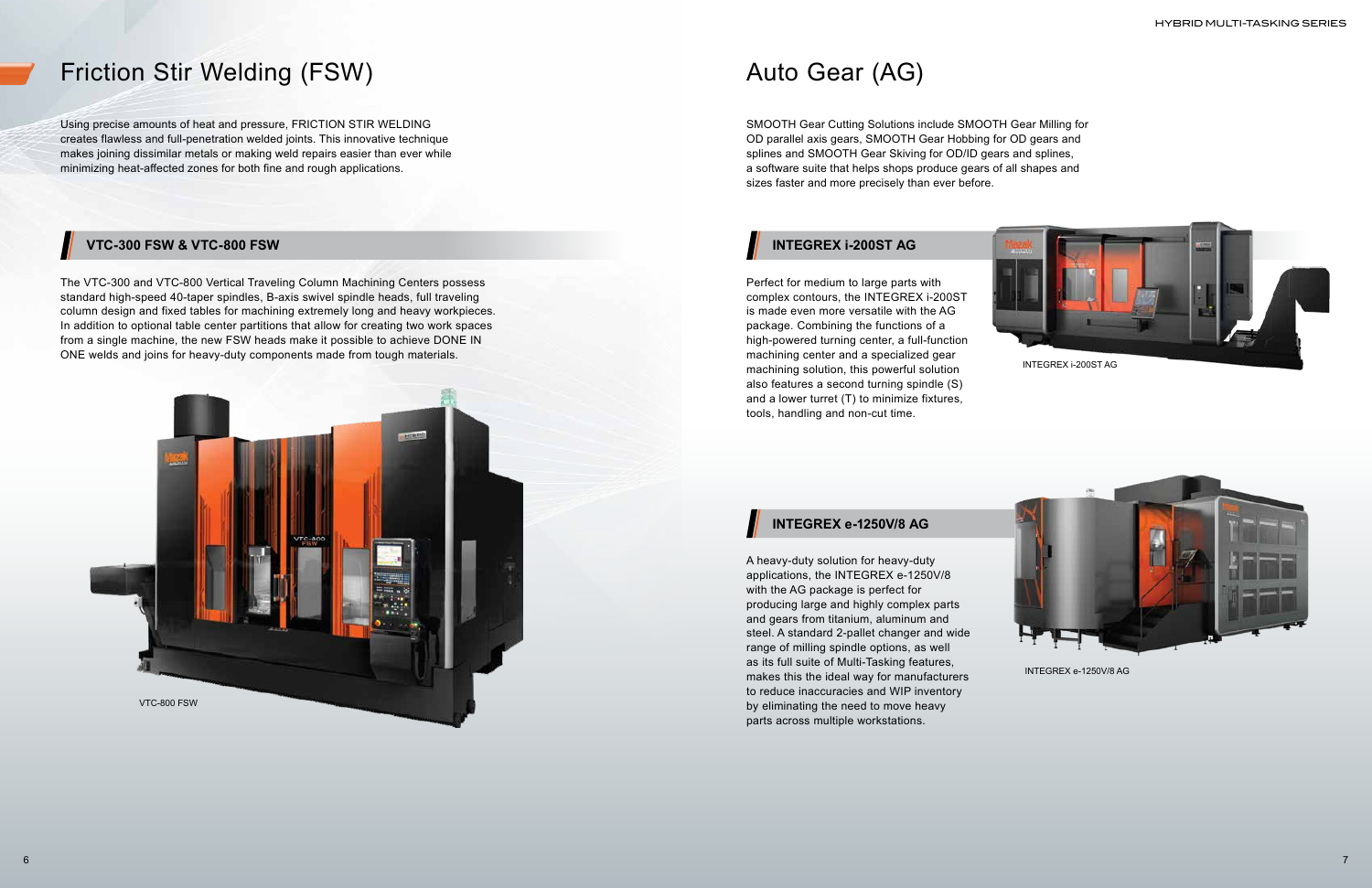## Friction Stir Welding (FSW) Auto Gear (AG)

Using precise amounts of heat and pressure, FRICTION STIR WELDING creates flawless and full-penetration welded joints. This innovative technique makes joining dissimilar metals or making weld repairs easier than ever while minimizing heat-affected zones for both fine and rough applications.

SMOOTH Gear Cutting Solutions include SMOOTH Gear Milling for OD parallel axis gears, SMOOTH Gear Hobbing for OD gears and splines and SMOOTH Gear Skiving for OD/ID gears and splines, a software suite that helps shops produce gears of all shapes and sizes faster and more precisely than ever before.

The VTC-300 and VTC-800 Vertical Traveling Column Machining Centers possess standard high-speed 40-taper spindles, B-axis swivel spindle heads, full traveling column design and fixed tables for machining extremely long and heavy workpieces. In addition to optional table center partitions that allow for creating two work spaces from a single machine, the new FSW heads make it possible to achieve DONE IN ONE welds and joins for heavy-duty components made from tough materials.

Perfect for medium to large parts with complex contours, the INTEGREX i-200ST is made even more versatile with the AG package. Combining the functions of a high-powered turning center, a full-function machining center and a specialized gear machining solution, this powerful solution also features a second turning spindle (S) and a lower turret (T) to minimize fixtures, tools, handling and non-cut time.

A heavy-duty solution for heavy-duty applications, the INTEGREX e-1250V/8 with the AG package is perfect for producing large and highly complex parts and gears from titanium, aluminum and steel. A standard 2-pallet changer and wide range of milling spindle options, as well as its full suite of Multi-Tasking features, makes this the ideal way for manufacturers to reduce inaccuracies and WIP inventory by eliminating the need to move heavy parts across multiple workstations.

### **VTC-300 FSW & VTC-800 FSW INTEGREX i-200ST AG**

#### **INTEGREX e-1250V/8 AG**





INTEGREX e-1250V/8 AG

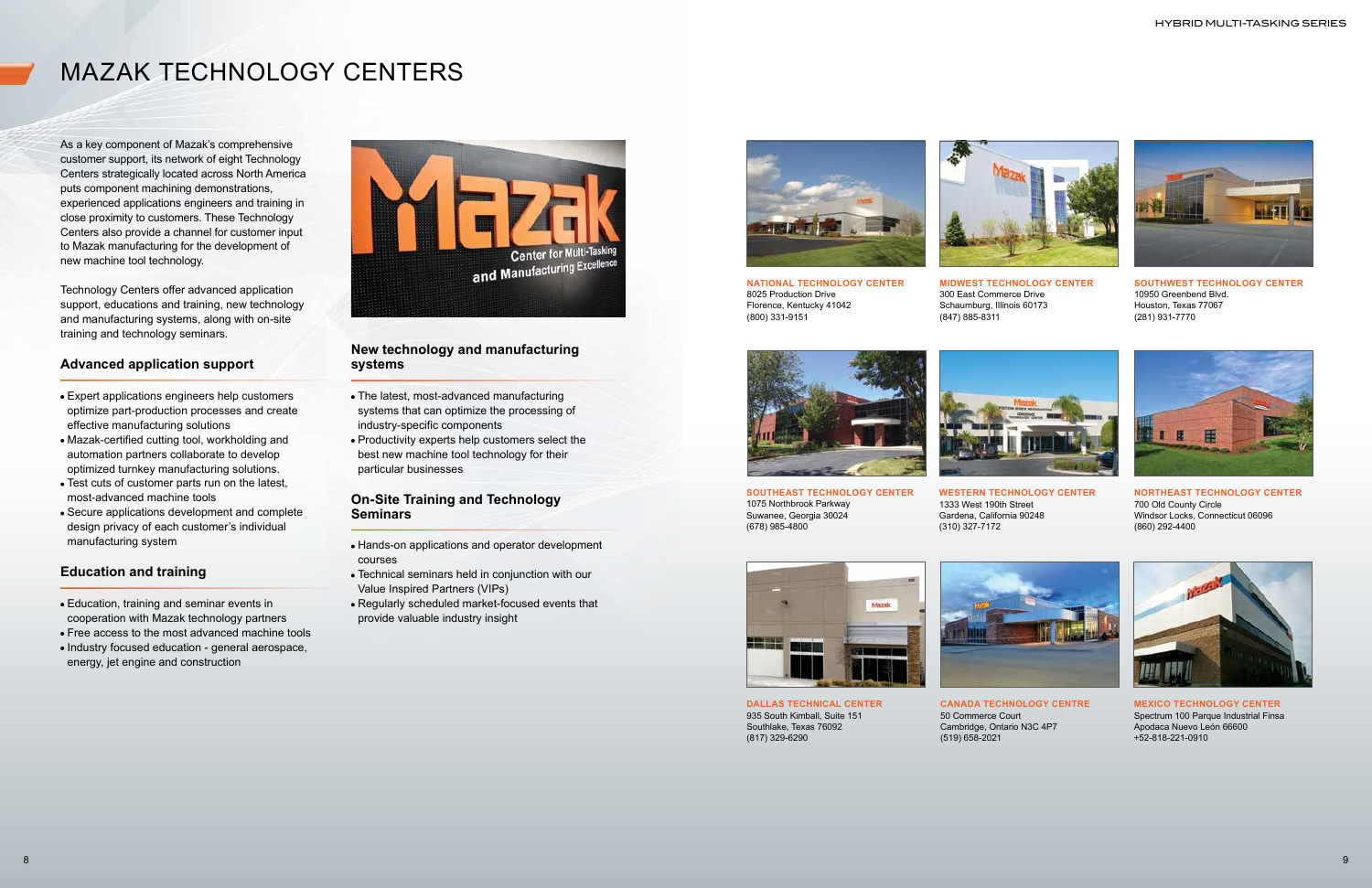# MAZAK TECHNOLOGY CENTERS

**SOUTHEAST TECHNOLOGY CENTER** 1075 Northbrook Parkway Suwanee, Georgia 30024 (678) 985-4800





**NATIONAL TECHNOLOGY CENTER** 8025 Production Drive Florence, Kentucky 41042 (800) 331-9151



(847) 885-8311



**MIDWEST TECHNOLOGY CENTER** 300 East Commerce Drive Schaumburg, Illinois 60173



**SOUTHWEST TECHNOLOGY CENTER** 10950 Greenbend Blvd. Houston, Texas 77067 (281) 931-7770

(310) 327-7172

**WESTERN TECHNOLOGY CENTER** 1333 West 190th Street Gardena, California 90248



**NORTHEAST TECHNOLOGY CENTER** 700 Old County Circle Windsor Locks, Connecticut 06096 (860) 292-4400





**DALLAS TECHNICAL CENTER** 935 South Kimball, Suite 151 Southlake, Texas 76092 (817) 329-6290

**CANADA TECHNOLOGY CENTRE** 50 Commerce Court Cambridge, Ontario N3C 4P7 (519) 658-2021



**MEXICO TECHNOLOGY CENTER** Spectrum 100 Parque Industrial Finsa Apodaca Nuevo León 66600 +52-818-221-0910

As a key component of Mazak's comprehensive customer support, its network of eight Technology Centers strategically located across North America puts component machining demonstrations, experienced applications engineers and training in close proximity to customers. These Technology Centers also provide a channel for customer input to Mazak manufacturing for the development of new machine tool technology.

Technology Centers offer advanced application support, educations and training, new technology and manufacturing systems, along with on-site training and technology seminars.

#### **Advanced application support**

- Expert applications engineers help customers optimize part-production processes and create effective manufacturing solutions
- Mazak-certified cutting tool, workholding and automation partners collaborate to develop optimized turnkey manufacturing solutions.
- Test cuts of customer parts run on the latest, most-advanced machine tools
- Secure applications development and complete design privacy of each customer's individual manufacturing system

#### **Education and training**

- Education, training and seminar events in cooperation with Mazak technology partners
- Free access to the most advanced machine tools
- Industry focused education general aerospace, energy, jet engine and construction



#### **New technology and manufacturing systems**

- The latest, most-advanced manufacturing systems that can optimize the processing of industry-specific components
- Productivity experts help customers select the best new machine tool technology for their particular businesses

#### **On-Site Training and Technology Seminars**

- Hands-on applications and operator development courses
- Technical seminars held in conjunction with our Value Inspired Partners (VIPs)
- Regularly scheduled market-focused events that provide valuable industry insight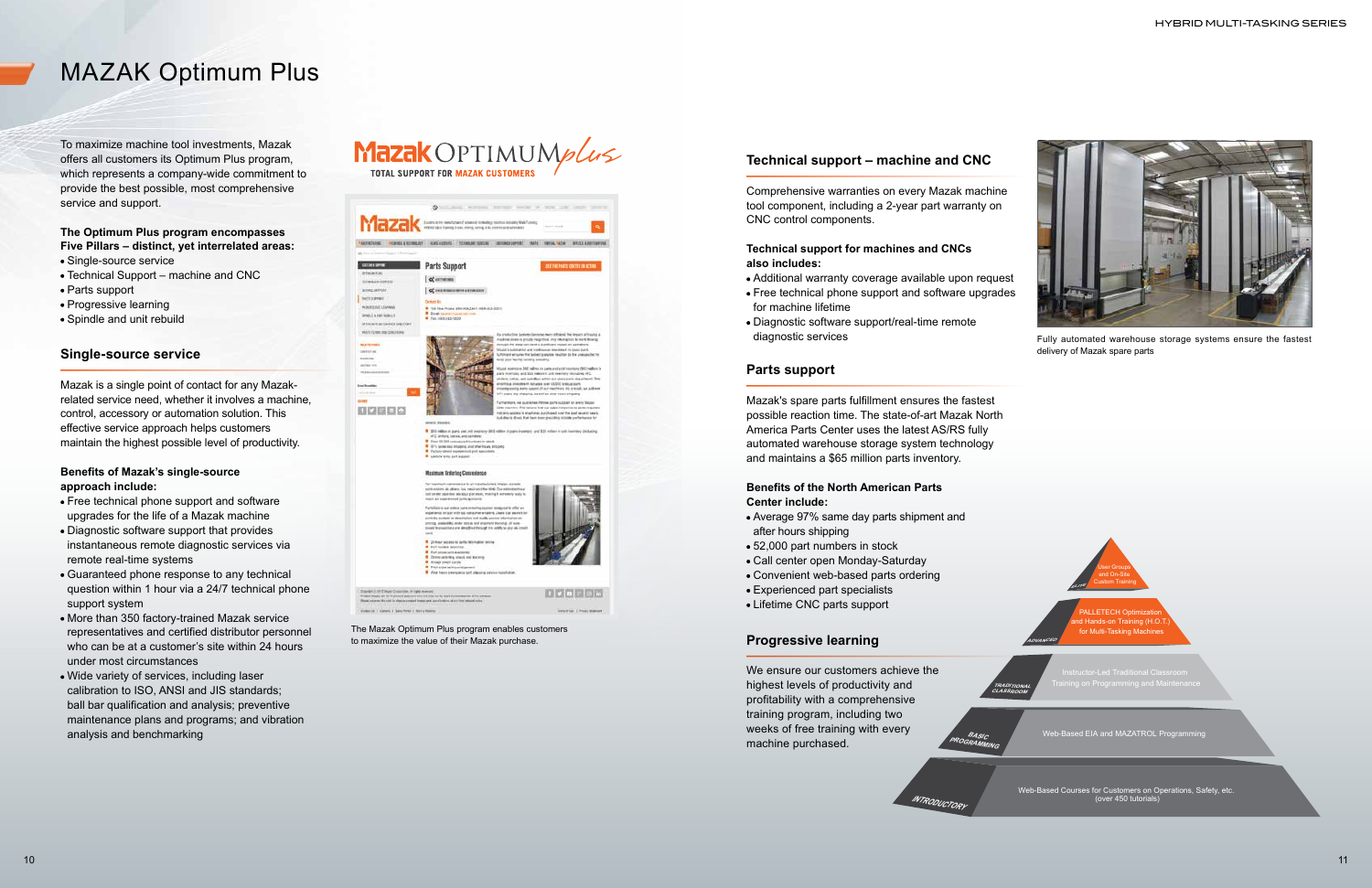



**J. LETECH Optimiza** for Multi-Tasking Machine

Web-Based Courses for Customers on Operations, Safety, etc. (over 450 tutorials)

**INTRODUCTORY**

**BASIC PROGRAMMING**

**TRADITIONAL CLASSROOM**

**ADVANCED**

Web-Based EIA and MAZATROL Programming

- Single-source service
- Technical Support machine and CNC
- Parts support
- Progressive learning
- Spindle and unit rebuild



Fully automated warehouse storage systems ensure the fastest delivery of Mazak spare parts

The Mazak Optimum Plus program enables customers to maximize the value of their Mazak purchase.

To maximize machine tool investments, Mazak offers all customers its Optimum Plus program, which represents a company-wide commitment to provide the best possible, most comprehensive service and support.

#### **The Optimum Plus program encompasses Five Pillars – distinct, yet interrelated areas:**

#### **Single-source service**

Mazak is a single point of contact for any Mazakrelated service need, whether it involves a machine, control, accessory or automation solution. This effective service approach helps customers maintain the highest possible level of productivity.

#### **Benefits of Mazak's single-source approach include:**

- Free technical phone support and software upgrades for the life of a Mazak machine
- Diagnostic software support that provides instantaneous remote diagnostic services via remote real-time systems
- Guaranteed phone response to any technical question within 1 hour via a 24/7 technical phone support system
- More than 350 factory-trained Mazak service representatives and certified distributor personnel who can be at a customer's site within 24 hours under most circumstances
- Wide variety of services, including laser calibration to ISO, ANSI and JIS standards; ball bar qualification and analysis; preventive maintenance plans and programs; and vibration analysis and benchmarking

### Mazak OPTIMUMplus **TOTAL SUPPORT FOR MAZAK CUSTOMER:**



#### **Parts support**

Mazak's spare parts fulfillment ensures the fastest possible reaction time. The state-of-art Mazak North America Parts Center uses the latest AS/RS fully automated warehouse storage system technology and maintains a \$65 million parts inventory.

#### **Benefits of the North American Parts Center include:**

- Average 97% same day parts shipment and after hours shipping
- 52,000 part numbers in stock
- Call center open Monday-Saturday
- Convenient web-based parts ordering
- Experienced part specialists
- Lifetime CNC parts support

#### **Progressive learning**

We ensure our customers achieve the highest levels of productivity and profitability with a comprehensive training program, including two weeks of free training with every machine purchased.

#### **Technical support – machine and CNC**

Comprehensive warranties on every Mazak machine tool component, including a 2-year part warranty on CNC control components.

#### **Technical support for machines and CNCs also includes:**

- Additional warranty coverage available upon request
- Free technical phone support and software upgrades for machine lifetime
- Diagnostic software support/real-time remote diagnostic services

# MAZAK Optimum Plus